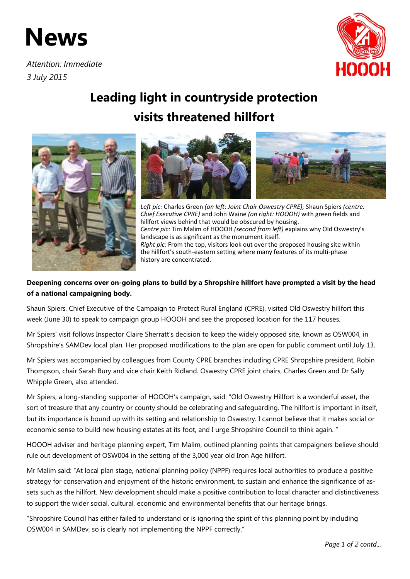## **News**

*Attention: Immediate 3 July 2015*



## **Leading light in countryside protection visits threatened hillfort**





*Left pic:* Charles Green *(on left: Joint Chair Oswestry CPRE),* Shaun Spiers *(centre: Chief Executive CPRE)* and John Waine *(on right: HOOOH)* with green fields and hillfort views behind that would be obscured by housing. *Centre pic:* Tim Malim of HOOOH *(second from left)* explains why Old Oswestry's landscape is as significant as the monument itself. *Right pic:* From the top, visitors look out over the proposed housing site within the hillfort's south-eastern setting where many features of its multi-phase history are concentrated.

## **Deepening concerns over on-going plans to build by a Shropshire hillfort have prompted a visit by the head of a national campaigning body.**

Shaun Spiers, Chief Executive of the Campaign to Protect Rural England (CPRE), visited Old Oswestry hillfort this week (June 30) to speak to campaign group HOOOH and see the proposed location for the 117 houses.

Mr Spiers' visit follows Inspector Claire Sherratt's decision to keep the widely opposed site, known as OSW004, in Shropshire's SAMDev local plan. Her proposed modifications to the plan are open for public comment until July 13.

Mr Spiers was accompanied by colleagues from County CPRE branches including CPRE Shropshire president, Robin Thompson, chair Sarah Bury and vice chair Keith Ridland. Oswestry CPRE joint chairs, Charles Green and Dr Sally Whipple Green, also attended.

Mr Spiers, a long-standing supporter of HOOOH's campaign, said: "Old Oswestry Hillfort is a wonderful asset, the sort of treasure that any country or county should be celebrating and safeguarding. The hillfort is important in itself, but its importance is bound up with its setting and relationship to Oswestry. I cannot believe that it makes social or economic sense to build new housing estates at its foot, and I urge Shropshire Council to think again. "

HOOOH adviser and heritage planning expert, Tim Malim, outlined planning points that campaigners believe should rule out development of OSW004 in the setting of the 3,000 year old Iron Age hillfort.

Mr Malim said: "At local plan stage, national planning policy (NPPF) requires local authorities to produce a positive strategy for conservation and enjoyment of the historic environment, to sustain and enhance the significance of assets such as the hillfort. New development should make a positive contribution to local character and distinctiveness to support the wider social, cultural, economic and environmental benefits that our heritage brings.

"Shropshire Council has either failed to understand or is ignoring the spirit of this planning point by including OSW004 in SAMDev, so is clearly not implementing the NPPF correctly."